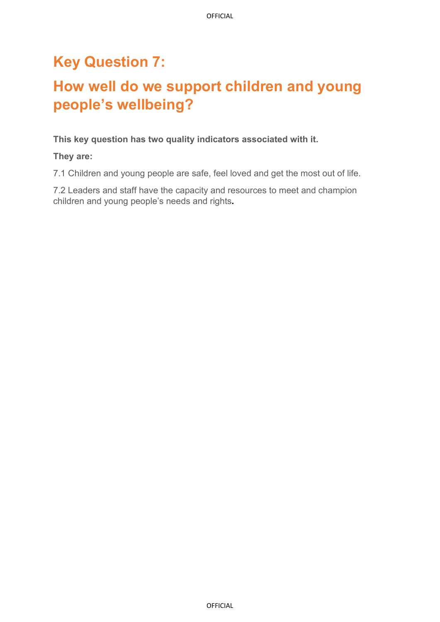# **Key Question 7:**

# **How well do we support children and young people's wellbeing?**

#### **This key question has two quality indicators associated with it.**

**They are:** 

7.1 Children and young people are safe, feel loved and get the most out of life.

7.2 Leaders and staff have the capacity and resources to meet and champion children and young people's needs and rights**.**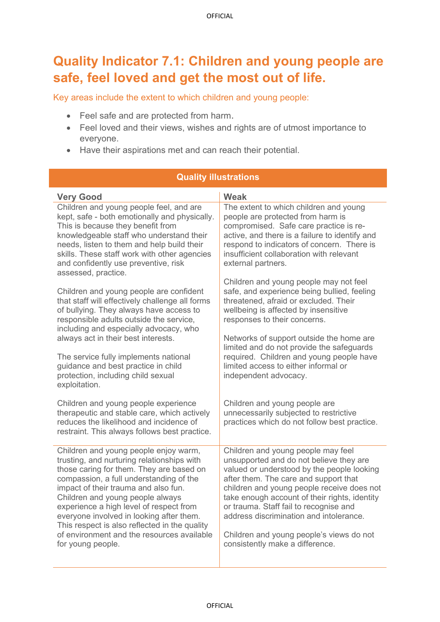## **Quality Indicator 7.1: Children and young people are safe, feel loved and get the most out of life.**

Key areas include the extent to which children and young people:

- Feel safe and are protected from harm.
- Feel loved and their views, wishes and rights are of utmost importance to everyone.

**Quality illustrations**

• Have their aspirations met and can reach their potential.

| <b>QUAIILY IIIUSU AUVIIS</b>                                                                                                                                                                                                                                                                                                                                                                                                                                      |                                                                                                                                                                                                                                                                                                                                                                                                                                         |  |  |  |
|-------------------------------------------------------------------------------------------------------------------------------------------------------------------------------------------------------------------------------------------------------------------------------------------------------------------------------------------------------------------------------------------------------------------------------------------------------------------|-----------------------------------------------------------------------------------------------------------------------------------------------------------------------------------------------------------------------------------------------------------------------------------------------------------------------------------------------------------------------------------------------------------------------------------------|--|--|--|
| <b>Very Good</b>                                                                                                                                                                                                                                                                                                                                                                                                                                                  | <b>Weak</b>                                                                                                                                                                                                                                                                                                                                                                                                                             |  |  |  |
| Children and young people feel, and are<br>kept, safe - both emotionally and physically.<br>This is because they benefit from<br>knowledgeable staff who understand their<br>needs, listen to them and help build their<br>skills. These staff work with other agencies<br>and confidently use preventive, risk<br>assessed, practice.                                                                                                                            | The extent to which children and young<br>people are protected from harm is<br>compromised. Safe care practice is re-<br>active, and there is a failure to identify and<br>respond to indicators of concern. There is<br>insufficient collaboration with relevant<br>external partners.                                                                                                                                                 |  |  |  |
| Children and young people are confident<br>that staff will effectively challenge all forms<br>of bullying. They always have access to<br>responsible adults outside the service,<br>including and especially advocacy, who<br>always act in their best interests.                                                                                                                                                                                                 | Children and young people may not feel<br>safe, and experience being bullied, feeling<br>threatened, afraid or excluded. Their<br>wellbeing is affected by insensitive<br>responses to their concerns.<br>Networks of support outside the home are                                                                                                                                                                                      |  |  |  |
| The service fully implements national<br>guidance and best practice in child<br>protection, including child sexual<br>exploitation.                                                                                                                                                                                                                                                                                                                               | limited and do not provide the safeguards<br>required. Children and young people have<br>limited access to either informal or<br>independent advocacy.                                                                                                                                                                                                                                                                                  |  |  |  |
| Children and young people experience<br>therapeutic and stable care, which actively<br>reduces the likelihood and incidence of<br>restraint. This always follows best practice.                                                                                                                                                                                                                                                                                   | Children and young people are<br>unnecessarily subjected to restrictive<br>practices which do not follow best practice.                                                                                                                                                                                                                                                                                                                 |  |  |  |
| Children and young people enjoy warm,<br>trusting, and nurturing relationships with<br>those caring for them. They are based on<br>compassion, a full understanding of the<br>impact of their trauma and also fun.<br>Children and young people always<br>experience a high level of respect from<br>everyone involved in looking after them.<br>This respect is also reflected in the quality<br>of environment and the resources available<br>for young people. | Children and young people may feel<br>unsupported and do not believe they are<br>valued or understood by the people looking<br>after them. The care and support that<br>children and young people receive does not<br>take enough account of their rights, identity<br>or trauma. Staff fail to recognise and<br>address discrimination and intolerance.<br>Children and young people's views do not<br>consistently make a difference. |  |  |  |

#### OFFICIAL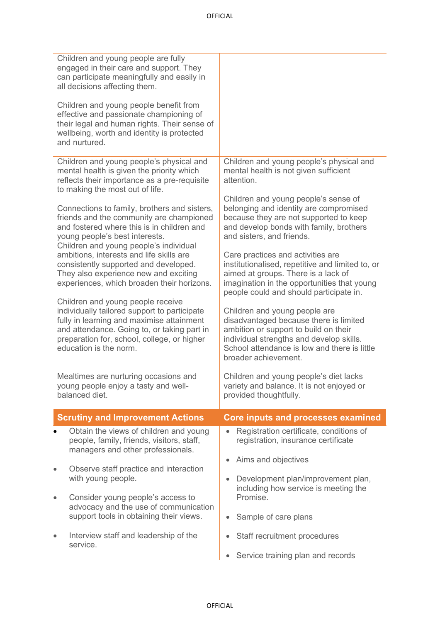| Children and young people are fully<br>engaged in their care and support. They<br>can participate meaningfully and easily in<br>all decisions affecting them.                                                                                          |                                                                                                                                                                                                                                      |
|--------------------------------------------------------------------------------------------------------------------------------------------------------------------------------------------------------------------------------------------------------|--------------------------------------------------------------------------------------------------------------------------------------------------------------------------------------------------------------------------------------|
| Children and young people benefit from<br>effective and passionate championing of<br>their legal and human rights. Their sense of<br>wellbeing, worth and identity is protected<br>and nurtured.                                                       |                                                                                                                                                                                                                                      |
| Children and young people's physical and<br>mental health is given the priority which<br>reflects their importance as a pre-requisite<br>to making the most out of life.                                                                               | Children and young people's physical and<br>mental health is not given sufficient<br>attention.                                                                                                                                      |
| Connections to family, brothers and sisters,<br>friends and the community are championed<br>and fostered where this is in children and<br>young people's best interests.<br>Children and young people's individual                                     | Children and young people's sense of<br>belonging and identity are compromised<br>because they are not supported to keep<br>and develop bonds with family, brothers<br>and sisters, and friends.                                     |
| ambitions, interests and life skills are<br>consistently supported and developed.<br>They also experience new and exciting<br>experiences, which broaden their horizons.                                                                               | Care practices and activities are<br>institutionalised, repetitive and limited to, or<br>aimed at groups. There is a lack of<br>imagination in the opportunities that young<br>people could and should participate in.               |
| Children and young people receive<br>individually tailored support to participate<br>fully in learning and maximise attainment<br>and attendance. Going to, or taking part in<br>preparation for, school, college, or higher<br>education is the norm. | Children and young people are<br>disadvantaged because there is limited<br>ambition or support to build on their<br>individual strengths and develop skills.<br>School attendance is low and there is little<br>broader achievement. |
| Mealtimes are nurturing occasions and<br>young people enjoy a tasty and well-<br>balanced diet.                                                                                                                                                        | Children and young people's diet lacks<br>variety and balance. It is not enjoyed or<br>provided thoughtfully.                                                                                                                        |
| <b>Scrutiny and Improvement Actions</b>                                                                                                                                                                                                                | <b>Core inputs and processes examined</b>                                                                                                                                                                                            |
| Obtain the views of children and young<br>people, family, friends, visitors, staff,<br>managers and other professionals.                                                                                                                               | Registration certificate, conditions of<br>registration, insurance certificate                                                                                                                                                       |
| Observe staff practice and interaction<br>$\bullet$<br>with young people.                                                                                                                                                                              | Aims and objectives<br>Development plan/improvement plan,<br>including how service is meeting the                                                                                                                                    |
| Consider young people's access to<br>$\bullet$<br>advocacy and the use of communication<br>support tools in obtaining their views.                                                                                                                     | Promise.<br>Sample of care plans                                                                                                                                                                                                     |
| Interview staff and leadership of the<br>$\bullet$<br>service.                                                                                                                                                                                         | Staff recruitment procedures<br>٠                                                                                                                                                                                                    |
|                                                                                                                                                                                                                                                        | Service training plan and records                                                                                                                                                                                                    |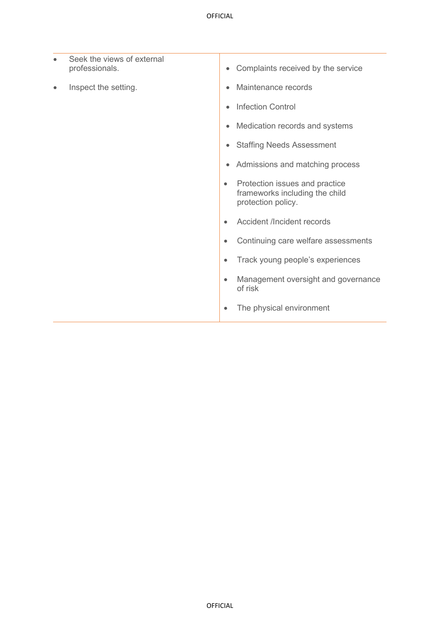| $\bullet$ | Seek the views of external<br>professionals. | $\bullet$ | Complaints received by the service                                                     |
|-----------|----------------------------------------------|-----------|----------------------------------------------------------------------------------------|
| $\bullet$ | Inspect the setting.                         | $\bullet$ | Maintenance records                                                                    |
|           |                                              | $\bullet$ | <b>Infection Control</b>                                                               |
|           |                                              | $\bullet$ | Medication records and systems                                                         |
|           |                                              | $\bullet$ | <b>Staffing Needs Assessment</b>                                                       |
|           |                                              | ۰         | Admissions and matching process                                                        |
|           |                                              | $\bullet$ | Protection issues and practice<br>frameworks including the child<br>protection policy. |
|           |                                              |           | <b>Accident /Incident records</b>                                                      |
|           |                                              | ٠         | Continuing care welfare assessments                                                    |
|           |                                              | $\bullet$ | Track young people's experiences                                                       |
|           |                                              |           | Management oversight and governance<br>of risk                                         |
|           |                                              |           | The physical environment                                                               |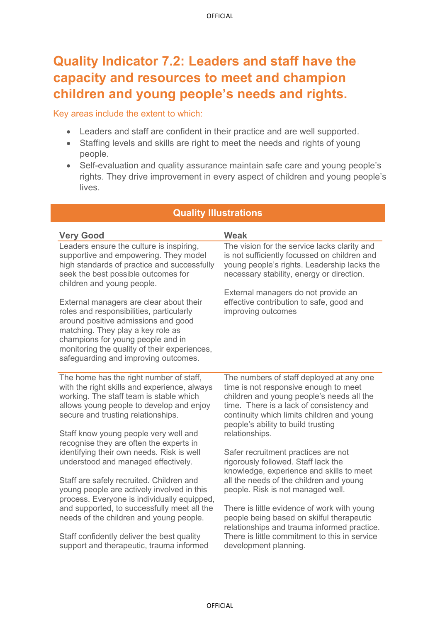## **Quality Indicator 7.2: Leaders and staff have the capacity and resources to meet and champion children and young people's needs and rights.**

Key areas include the extent to which:

- Leaders and staff are confident in their practice and are well supported.
- Staffing levels and skills are right to meet the needs and rights of young people.
- Self-evaluation and quality assurance maintain safe care and young people's rights. They drive improvement in every aspect of children and young people's lives.

| <b>Very Good</b>                                                                                                                                                                                                                                                                             | Weak                                                                                                                                                                                                                                                           |
|----------------------------------------------------------------------------------------------------------------------------------------------------------------------------------------------------------------------------------------------------------------------------------------------|----------------------------------------------------------------------------------------------------------------------------------------------------------------------------------------------------------------------------------------------------------------|
| Leaders ensure the culture is inspiring,<br>supportive and empowering. They model<br>high standards of practice and successfully<br>seek the best possible outcomes for<br>children and young people.                                                                                        | The vision for the service lacks clarity and<br>is not sufficiently focussed on children and<br>young people's rights. Leadership lacks the<br>necessary stability, energy or direction.                                                                       |
| External managers are clear about their<br>roles and responsibilities, particularly<br>around positive admissions and good<br>matching. They play a key role as<br>champions for young people and in<br>monitoring the quality of their experiences,<br>safeguarding and improving outcomes. | External managers do not provide an<br>effective contribution to safe, good and<br>improving outcomes                                                                                                                                                          |
| The home has the right number of staff,<br>with the right skills and experience, always<br>working. The staff team is stable which<br>allows young people to develop and enjoy<br>secure and trusting relationships.                                                                         | The numbers of staff deployed at any one<br>time is not responsive enough to meet<br>children and young people's needs all the<br>time. There is a lack of consistency and<br>continuity which limits children and young<br>people's ability to build trusting |
| Staff know young people very well and<br>recognise they are often the experts in<br>identifying their own needs. Risk is well<br>understood and managed effectively.                                                                                                                         | relationships.<br>Safer recruitment practices are not<br>rigorously followed. Staff lack the<br>knowledge, experience and skills to meet                                                                                                                       |
| Staff are safely recruited. Children and<br>young people are actively involved in this<br>process. Everyone is individually equipped,                                                                                                                                                        | all the needs of the children and young<br>people. Risk is not managed well.                                                                                                                                                                                   |
| and supported, to successfully meet all the<br>needs of the children and young people.                                                                                                                                                                                                       | There is little evidence of work with young<br>people being based on skilful therapeutic<br>relationships and trauma informed practice.                                                                                                                        |
| Staff confidently deliver the best quality<br>support and therapeutic, trauma informed                                                                                                                                                                                                       | There is little commitment to this in service<br>development planning.                                                                                                                                                                                         |

### **Quality Illustrations**